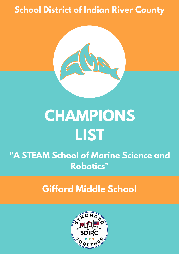### **School District of Indian River County**



# **CHAMPIONS LIST**

### **"A STEAM School of Marine Science and Robotics"**

### **Gifford Middle School**

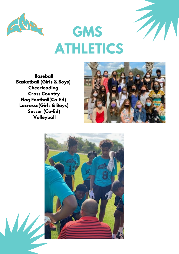

 $\mathbf{M}$ 

## **GMS ATHLETICS**

**Baseball Basketball (Girls & Boys) Cheerleading Cross Country Flag Football(Co-Ed) Lacrosse(Girls & Boys) Soccer (Co-Ed) Volleyball**



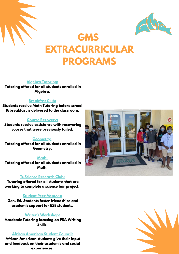



### **GMS EXTRACURRICULAR PROGRAMS**

**Algebra Tutoring:**

**Tutoring offered for all students enrolled in Algebra.**

#### **Breakfast Club:**

**Students receive Math Tutoring before school & breakfast is delivered to the classroom.**

#### **Course Recovery:**

**Students receive assistance with recovering course that were previously failed.**

#### **Geometry:**

**Tutoring offered for all students enrolled in Geometry.**

#### **Math:**

**Tutoring offered for all students enrolled in Math.**

#### **TuScience Research Club:**

**Tutoring offered for all students that are working to complete a science fair project.**

#### **Student Peer Mentors:**

**Gen. Ed. Students foster friendships and academic support for ESE students.**

#### **Writer's Workshop:**

**Academic Tutoring focusing on FSA Writing Skills.**

#### **African American Student Council:**

**African American students give their input and feedback on their academic and social experiences.**



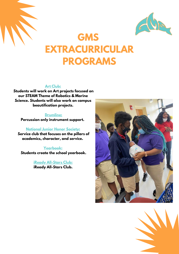



### **GMS EXTRACURRICULAR PROGRAMS**

#### **Art Club:**

**Students will work on Art projects focused on our STEAM Theme of Robotics & Marine Science. Students will also work on campus beautification projects.**

#### **Drumline:**

**Percussion only instrument support.**

#### **National Junior Honor Society:**

**Service club that focuses on the pillars of academics, character, and service.**

#### **Yearbook:**

**Students create the school yearbook.**

**iReady All-Stars Club: iReady All-Stars Club.**